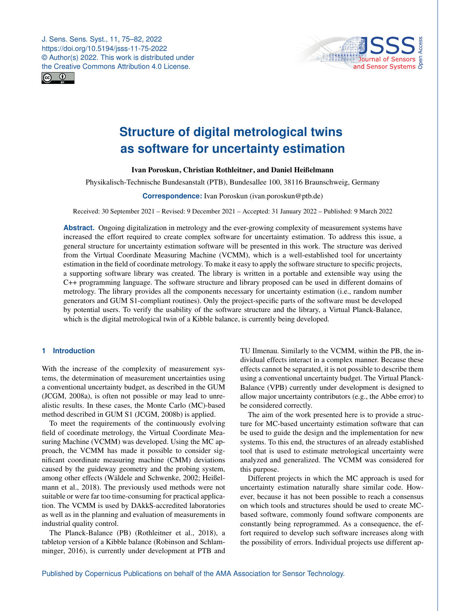J. Sens. Sens. Syst., 11, 75–82, 2022 https://doi.org/10.5194/jsss-11-75-2022 © Author(s) 2022. This work is distributed under the Creative Commons Attribution 4.0 License.





# **Structure of digital metrological twins as software for uncertainty estimation**

## Ivan Poroskun, Christian Rothleitner, and Daniel Heißelmann

Physikalisch-Technische Bundesanstalt (PTB), Bundesallee 100, 38116 Braunschweig, Germany

#### **Correspondence:** Ivan Poroskun (ivan.poroskun@ptb.de)

Received: 30 September 2021 – Revised: 9 December 2021 – Accepted: 31 January 2022 – Published: 9 March 2022

**Abstract.** Ongoing digitalization in metrology and the ever-growing complexity of measurement systems have increased the effort required to create complex software for uncertainty estimation. To address this issue, a general structure for uncertainty estimation software will be presented in this work. The structure was derived from the Virtual Coordinate Measuring Machine (VCMM), which is a well-established tool for uncertainty estimation in the field of coordinate metrology. To make it easy to apply the software structure to specific projects, a supporting software library was created. The library is written in a portable and extensible way using the C++ programming language. The software structure and library proposed can be used in different domains of metrology. The library provides all the components necessary for uncertainty estimation (i.e., random number generators and GUM S1-compliant routines). Only the project-specific parts of the software must be developed by potential users. To verify the usability of the software structure and the library, a Virtual Planck-Balance, which is the digital metrological twin of a Kibble balance, is currently being developed.

# **1 Introduction**

With the increase of the complexity of measurement systems, the determination of measurement uncertainties using a conventional uncertainty budget, as described in the GUM [\(JCGM,](#page-7-0) [2008a\)](#page-7-0), is often not possible or may lead to unrealistic results. In these cases, the Monte Carlo (MC)-based method described in GUM S1 [\(JCGM,](#page-7-1) [2008b\)](#page-7-1) is applied.

To meet the requirements of the continuously evolving field of coordinate metrology, the Virtual Coordinate Measuring Machine (VCMM) was developed. Using the MC approach, the VCMM has made it possible to consider significant coordinate measuring machine (CMM) deviations caused by the guideway geometry and the probing system, among other effects [\(Wäldele and Schwenke,](#page-7-2) [2002;](#page-7-2) [Heißel](#page-7-3)[mann et al.,](#page-7-3) [2018\)](#page-7-3). The previously used methods were not suitable or were far too time-consuming for practical application. The VCMM is used by DAkkS-accredited laboratories as well as in the planning and evaluation of measurements in industrial quality control.

The Planck-Balance (PB) [\(Rothleitner et al.,](#page-7-4) [2018\)](#page-7-4), a tabletop version of a Kibble balance [\(Robinson and Schlam](#page-7-5)[minger,](#page-7-5) [2016\)](#page-7-5), is currently under development at PTB and TU Ilmenau. Similarly to the VCMM, within the PB, the individual effects interact in a complex manner. Because these effects cannot be separated, it is not possible to describe them using a conventional uncertainty budget. The Virtual Planck-Balance (VPB) currently under development is designed to allow major uncertainty contributors (e.g., the Abbe error) to be considered correctly.

The aim of the work presented here is to provide a structure for MC-based uncertainty estimation software that can be used to guide the design and the implementation for new systems. To this end, the structures of an already established tool that is used to estimate metrological uncertainty were analyzed and generalized. The VCMM was considered for this purpose.

Different projects in which the MC approach is used for uncertainty estimation naturally share similar code. However, because it has not been possible to reach a consensus on which tools and structures should be used to create MCbased software, commonly found software components are constantly being reprogrammed. As a consequence, the effort required to develop such software increases along with the possibility of errors. Individual projects use different ap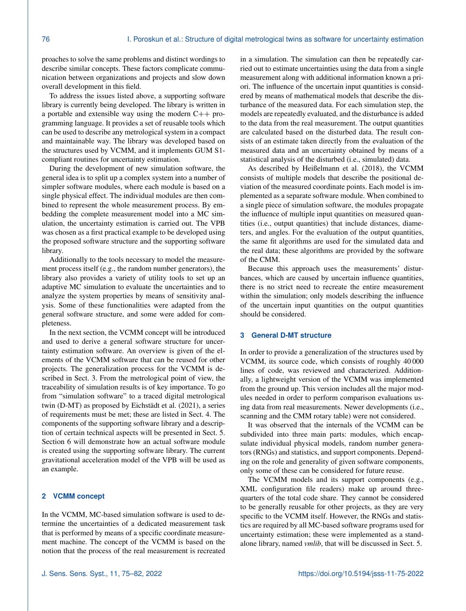proaches to solve the same problems and distinct wordings to describe similar concepts. These factors complicate communication between organizations and projects and slow down overall development in this field.

To address the issues listed above, a supporting software library is currently being developed. The library is written in a portable and extensible way using the modern C++ programming language. It provides a set of reusable tools which can be used to describe any metrological system in a compact and maintainable way. The library was developed based on the structures used by VCMM, and it implements GUM S1 compliant routines for uncertainty estimation.

During the development of new simulation software, the general idea is to split up a complex system into a number of simpler software modules, where each module is based on a single physical effect. The individual modules are then combined to represent the whole measurement process. By embedding the complete measurement model into a MC simulation, the uncertainty estimation is carried out. The VPB was chosen as a first practical example to be developed using the proposed software structure and the supporting software library.

Additionally to the tools necessary to model the measurement process itself (e.g., the random number generators), the library also provides a variety of utility tools to set up an adaptive MC simulation to evaluate the uncertainties and to analyze the system properties by means of sensitivity analysis. Some of these functionalities were adapted from the general software structure, and some were added for completeness.

In the next section, the VCMM concept will be introduced and used to derive a general software structure for uncertainty estimation software. An overview is given of the elements of the VCMM software that can be reused for other projects. The generalization process for the VCMM is described in Sect. [3.](#page-1-0) From the metrological point of view, the traceability of simulation results is of key importance. To go from "simulation software" to a traced digital metrological twin (D-MT) as proposed by [Eichstädt et al.](#page-7-6) [\(2021\)](#page-7-6), a series of requirements must be met; these are listed in Sect. [4.](#page-2-0) The components of the supporting software library and a description of certain technical aspects will be presented in Sect. [5.](#page-3-0) Section [6](#page-5-0) will demonstrate how an actual software module is created using the supporting software library. The current gravitational acceleration model of the VPB will be used as an example.

## **2 VCMM concept**

In the VCMM, MC-based simulation software is used to determine the uncertainties of a dedicated measurement task that is performed by means of a specific coordinate measurement machine. The concept of the VCMM is based on the notion that the process of the real measurement is recreated in a simulation. The simulation can then be repeatedly carried out to estimate uncertainties using the data from a single measurement along with additional information known a priori. The influence of the uncertain input quantities is considered by means of mathematical models that describe the disturbance of the measured data. For each simulation step, the models are repeatedly evaluated, and the disturbance is added to the data from the real measurement. The output quantities are calculated based on the disturbed data. The result consists of an estimate taken directly from the evaluation of the measured data and an uncertainty obtained by means of a statistical analysis of the disturbed (i.e., simulated) data.

As described by [Heißelmann et al.](#page-7-3) [\(2018\)](#page-7-3), the VCMM consists of multiple models that describe the positional deviation of the measured coordinate points. Each model is implemented as a separate software module. When combined to a single piece of simulation software, the modules propagate the influence of multiple input quantities on measured quantities (i.e., output quantities) that include distances, diameters, and angles. For the evaluation of the output quantities, the same fit algorithms are used for the simulated data and the real data; these algorithms are provided by the software of the CMM.

Because this approach uses the measurements' disturbances, which are caused by uncertain influence quantities, there is no strict need to recreate the entire measurement within the simulation; only models describing the influence of the uncertain input quantities on the output quantities should be considered.

## <span id="page-1-0"></span>**3 General D-MT structure**

In order to provide a generalization of the structures used by VCMM, its source code, which consists of roughly 40 000 lines of code, was reviewed and characterized. Additionally, a lightweight version of the VCMM was implemented from the ground up. This version includes all the major modules needed in order to perform comparison evaluations using data from real measurements. Newer developments (i.e., scanning and the CMM rotary table) were not considered.

It was observed that the internals of the VCMM can be subdivided into three main parts: modules, which encapsulate individual physical models, random number generators (RNGs) and statistics, and support components. Depending on the role and generality of given software components, only some of these can be considered for future reuse.

The VCMM models and its support components (e.g., XML configuration file readers) make up around threequarters of the total code share. They cannot be considered to be generally reusable for other projects, as they are very specific to the VCMM itself. However, the RNGs and statistics are required by all MC-based software programs used for uncertainty estimation; these were implemented as a standalone library, named *vmlib*, that will be discussed in Sect. [5.](#page-3-0)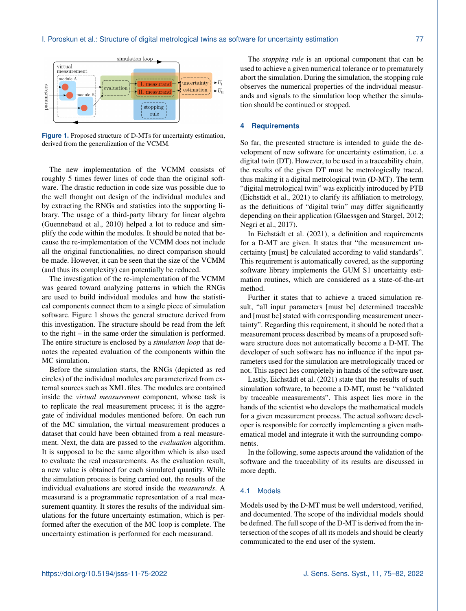<span id="page-2-1"></span>

**Figure 1.** Proposed structure of D-MTs for uncertainty estimation, derived from the generalization of the VCMM.

The new implementation of the VCMM consists of roughly 5 times fewer lines of code than the original software. The drastic reduction in code size was possible due to the well thought out design of the individual modules and by extracting the RNGs and statistics into the supporting library. The usage of a third-party library for linear algebra [\(Guennebaud et al.,](#page-7-7) [2010\)](#page-7-7) helped a lot to reduce and simplify the code within the modules. It should be noted that because the re-implementation of the VCMM does not include all the original functionalities, no direct comparison should be made. However, it can be seen that the size of the VCMM (and thus its complexity) can potentially be reduced.

The investigation of the re-implementation of the VCMM was geared toward analyzing patterns in which the RNGs are used to build individual modules and how the statistical components connect them to a single piece of simulation software. Figure [1](#page-2-1) shows the general structure derived from this investigation. The structure should be read from the left to the right – in the same order the simulation is performed. The entire structure is enclosed by a *simulation loop* that denotes the repeated evaluation of the components within the MC simulation.

Before the simulation starts, the RNGs (depicted as red circles) of the individual modules are parameterized from external sources such as XML files. The modules are contained inside the *virtual measurement* component, whose task is to replicate the real measurement process; it is the aggregate of individual modules mentioned before. On each run of the MC simulation, the virtual measurement produces a dataset that could have been obtained from a real measurement. Next, the data are passed to the *evaluation* algorithm. It is supposed to be the same algorithm which is also used to evaluate the real measurements. As the evaluation result, a new value is obtained for each simulated quantity. While the simulation process is being carried out, the results of the individual evaluations are stored inside the *measurands*. A measurand is a programmatic representation of a real measurement quantity. It stores the results of the individual simulations for the future uncertainty estimation, which is performed after the execution of the MC loop is complete. The uncertainty estimation is performed for each measurand.

The *stopping rule* is an optional component that can be used to achieve a given numerical tolerance or to prematurely abort the simulation. During the simulation, the stopping rule observes the numerical properties of the individual measurands and signals to the simulation loop whether the simulation should be continued or stopped.

#### <span id="page-2-0"></span>**4 Requirements**

So far, the presented structure is intended to guide the development of new software for uncertainty estimation, i.e. a digital twin (DT). However, to be used in a traceability chain, the results of the given DT must be metrologically traced, thus making it a digital metrological twin (D-MT). The term "digital metrological twin" was explicitly introduced by PTB [\(Eichstädt et al.,](#page-7-6) [2021\)](#page-7-6) to clarify its affiliation to metrology, as the definitions of "digital twin" may differ significantly depending on their application [\(Glaessgen and Stargel,](#page-7-8) [2012;](#page-7-8) [Negri et al.,](#page-7-9) [2017\)](#page-7-9).

In [Eichstädt et al.](#page-7-6) [\(2021\)](#page-7-6), a definition and requirements for a D-MT are given. It states that "the measurement uncertainty [must] be calculated according to valid standards". This requirement is automatically covered, as the supporting software library implements the GUM S1 uncertainty estimation routines, which are considered as a state-of-the-art method.

Further it states that to achieve a traced simulation result, "all input parameters [must be] determined traceable and [must be] stated with corresponding measurement uncertainty". Regarding this requirement, it should be noted that a measurement process described by means of a proposed software structure does not automatically become a D-MT. The developer of such software has no influence if the input parameters used for the simulation are metrologically traced or not. This aspect lies completely in hands of the software user.

Lastly, [Eichstädt et al.](#page-7-6) [\(2021\)](#page-7-6) state that the results of such simulation software, to become a D-MT, must be "validated by traceable measurements". This aspect lies more in the hands of the scientist who develops the mathematical models for a given measurement process. The actual software developer is responsible for correctly implementing a given mathematical model and integrate it with the surrounding components.

In the following, some aspects around the validation of the software and the traceability of its results are discussed in more depth.

## 4.1 Models

Models used by the D-MT must be well understood, verified, and documented. The scope of the individual models should be defined. The full scope of the D-MT is derived from the intersection of the scopes of all its models and should be clearly communicated to the end user of the system.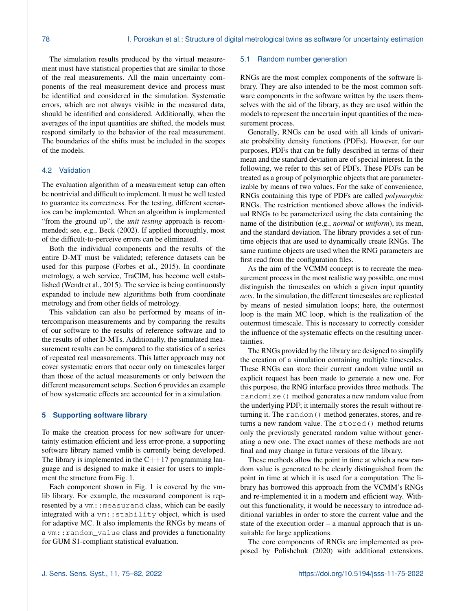The simulation results produced by the virtual measurement must have statistical properties that are similar to those of the real measurements. All the main uncertainty components of the real measurement device and process must be identified and considered in the simulation. Systematic errors, which are not always visible in the measured data, should be identified and considered. Additionally, when the averages of the input quantities are shifted, the models must respond similarly to the behavior of the real measurement. The boundaries of the shifts must be included in the scopes of the models.

## 4.2 Validation

The evaluation algorithm of a measurement setup can often be nontrivial and difficult to implement. It must be well tested to guarantee its correctness. For the testing, different scenarios can be implemented. When an algorithm is implemented "from the ground up", the *unit testing* approach is recommended; see, e.g., [Beck](#page-7-10) [\(2002\)](#page-7-10). If applied thoroughly, most of the difficult-to-perceive errors can be eliminated.

Both the individual components and the results of the entire D-MT must be validated; reference datasets can be used for this purpose [\(Forbes et al.,](#page-7-11) [2015\)](#page-7-11). In coordinate metrology, a web service, TraCIM, has become well established [\(Wendt et al.,](#page-7-12) [2015\)](#page-7-12). The service is being continuously expanded to include new algorithms both from coordinate metrology and from other fields of metrology.

This validation can also be performed by means of intercomparison measurements and by comparing the results of our software to the results of reference software and to the results of other D-MTs. Additionally, the simulated measurement results can be compared to the statistics of a series of repeated real measurements. This latter approach may not cover systematic errors that occur only on timescales larger than those of the actual measurements or only between the different measurement setups. Section [6](#page-5-0) provides an example of how systematic effects are accounted for in a simulation.

### <span id="page-3-0"></span>**5 Supporting software library**

To make the creation process for new software for uncertainty estimation efficient and less error-prone, a supporting software library named vmlib is currently being developed. The library is implemented in the  $C++17$  programming language and is designed to make it easier for users to implement the structure from Fig. [1.](#page-2-1)

Each component shown in Fig. [1](#page-2-1) is covered by the vmlib library. For example, the measurand component is represented by a vm:: measurand class, which can be easily integrated with a vm::stability object, which is used for adaptive MC. It also implements the RNGs by means of a vm:: random value class and provides a functionality for GUM S1-compliant statistical evaluation.

#### <span id="page-3-1"></span>5.1 Random number generation

RNGs are the most complex components of the software library. They are also intended to be the most common software components in the software written by the users themselves with the aid of the library, as they are used within the models to represent the uncertain input quantities of the measurement process.

Generally, RNGs can be used with all kinds of univariate probability density functions (PDFs). However, for our purposes, PDFs that can be fully described in terms of their mean and the standard deviation are of special interest. In the following, we refer to this set of PDFs. These PDFs can be treated as a group of polymorphic objects that are parameterizable by means of two values. For the sake of convenience, RNGs containing this type of PDFs are called *polymorphic* RNGs. The restriction mentioned above allows the individual RNGs to be parameterized using the data containing the name of the distribution (e.g., *normal* or *uniform*), its mean, and the standard deviation. The library provides a set of runtime objects that are used to dynamically create RNGs. The same runtime objects are used when the RNG parameters are first read from the configuration files.

As the aim of the VCMM concept is to recreate the measurement process in the most realistic way possible, one must distinguish the timescales on which a given input quantity *acts*. In the simulation, the different timescales are replicated by means of nested simulation loops; here, the outermost loop is the main MC loop, which is the realization of the outermost timescale. This is necessary to correctly consider the influence of the systematic effects on the resulting uncertainties.

The RNGs provided by the library are designed to simplify the creation of a simulation containing multiple timescales. These RNGs can store their current random value until an explicit request has been made to generate a new one. For this purpose, the RNG interface provides three methods. The randomize() method generates a new random value from the underlying PDF; it internally stores the result without returning it. The random() method generates, stores, and returns a new random value. The stored() method returns only the previously generated random value without generating a new one. The exact names of these methods are not final and may change in future versions of the library.

These methods allow the point in time at which a new random value is generated to be clearly distinguished from the point in time at which it is used for a computation. The library has borrowed this approach from the VCMM's RNGs and re-implemented it in a modern and efficient way. Without this functionality, it would be necessary to introduce additional variables in order to store the current value and the state of the execution order – a manual approach that is unsuitable for large applications.

The core components of RNGs are implemented as proposed by [Polishchuk](#page-7-13) [\(2020\)](#page-7-13) with additional extensions.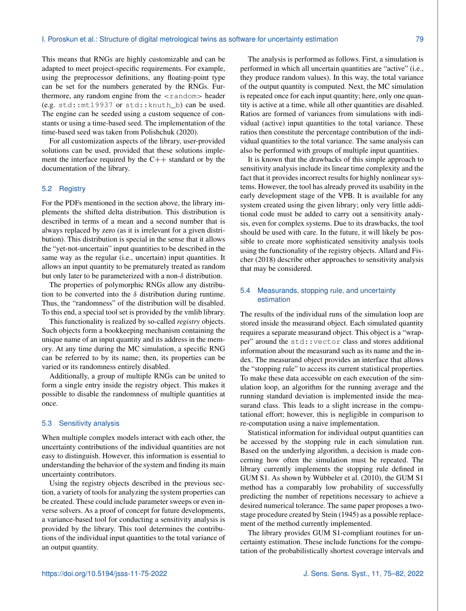This means that RNGs are highly customizable and can be adapted to meet project-specific requirements. For example, using the preprocessor definitions, any floating-point type can be set for the numbers generated by the RNGs. Furthermore, any random engine from the  $\langle$  random $\rangle$  header (e.g. std::mt19937 or std::knuth\_b) can be used. The engine can be seeded using a custom sequence of constants or using a time-based seed. The implementation of the time-based seed was taken from [Polishchuk](#page-7-13) [\(2020\)](#page-7-13).

For all customization aspects of the library, user-provided solutions can be used, provided that these solutions implement the interface required by the  $C++$  standard or by the documentation of the library.

### 5.2 Registry

For the PDFs mentioned in the section above, the library implements the shifted delta distribution. This distribution is described in terms of a mean and a second number that is always replaced by zero (as it is irrelevant for a given distribution). This distribution is special in the sense that it allows the "yet-not-uncertain" input quantities to be described in the same way as the regular (i.e., uncertain) input quantities. It allows an input quantity to be prematurely treated as random but only later to be parameterized with a non-δ distribution.

The properties of polymorphic RNGs allow any distribution to be converted into the  $\delta$  distribution during runtime. Thus, the "randomness" of the distribution will be disabled. To this end, a special tool set is provided by the vmlib library.

This functionality is realized by so-called *registry* objects. Such objects form a bookkeeping mechanism containing the unique name of an input quantity and its address in the memory. At any time during the MC simulation, a specific RNG can be referred to by its name; then, its properties can be varied or its randomness entirely disabled.

Additionally, a group of multiple RNGs can be united to form a single entry inside the registry object. This makes it possible to disable the randomness of multiple quantities at once.

#### 5.3 Sensitivity analysis

When multiple complex models interact with each other, the uncertainty contributions of the individual quantities are not easy to distinguish. However, this information is essential to understanding the behavior of the system and finding its main uncertainty contributors.

Using the registry objects described in the previous section, a variety of tools for analyzing the system properties can be created. These could include parameter sweeps or even inverse solvers. As a proof of concept for future developments, a variance-based tool for conducting a sensitivity analysis is provided by the library. This tool determines the contributions of the individual input quantities to the total variance of an output quantity.

The analysis is performed as follows. First, a simulation is performed in which all uncertain quantities are "active" (i.e., they produce random values). In this way, the total variance of the output quantity is computed. Next, the MC simulation is repeated once for each input quantity; here, only one quantity is active at a time, while all other quantities are disabled. Ratios are formed of variances from simulations with individual (active) input quantities to the total variance. These ratios then constitute the percentage contribution of the individual quantities to the total variance. The same analysis can also be performed with groups of multiple input quantities.

It is known that the drawbacks of this simple approach to sensitivity analysis include its linear time complexity and the fact that it provides incorrect results for highly nonlinear systems. However, the tool has already proved its usability in the early development stage of the VPB. It is available for any system created using the given library; only very little additional code must be added to carry out a sensitivity analysis, even for complex systems. Due to its drawbacks, the tool should be used with care. In the future, it will likely be possible to create more sophisticated sensitivity analysis tools using the functionality of the registry objects. [Allard and Fis](#page-7-14)[cher](#page-7-14) [\(2018\)](#page-7-14) describe other approaches to sensitivity analysis that may be considered.

## 5.4 Measurands, stopping rule, and uncertainty estimation

The results of the individual runs of the simulation loop are stored inside the measurand object. Each simulated quantity requires a separate measurand object. This object is a "wrapper" around the std::vector class and stores additional information about the measurand such as its name and the index. The measurand object provides an interface that allows the "stopping rule" to access its current statistical properties. To make these data accessible on each execution of the simulation loop, an algorithm for the running average and the running standard deviation is implemented inside the measurand class. This leads to a slight increase in the computational effort; however, this is negligible in comparison to re-computation using a naive implementation.

Statistical information for individual output quantities can be accessed by the stopping rule in each simulation run. Based on the underlying algorithm, a decision is made concerning how often the simulation must be repeated. The library currently implements the stopping rule defined in GUM S1. As shown by [Wübbeler et al.](#page-7-15) [\(2010\)](#page-7-15), the GUM S1 method has a comparably low probability of successfully predicting the number of repetitions necessary to achieve a desired numerical tolerance. The same paper proposes a twostage procedure created by [Stein](#page-7-16) [\(1945\)](#page-7-16) as a possible replacement of the method currently implemented.

The library provides GUM S1-compliant routines for uncertainty estimation. These include functions for the computation of the probabilistically shortest coverage intervals and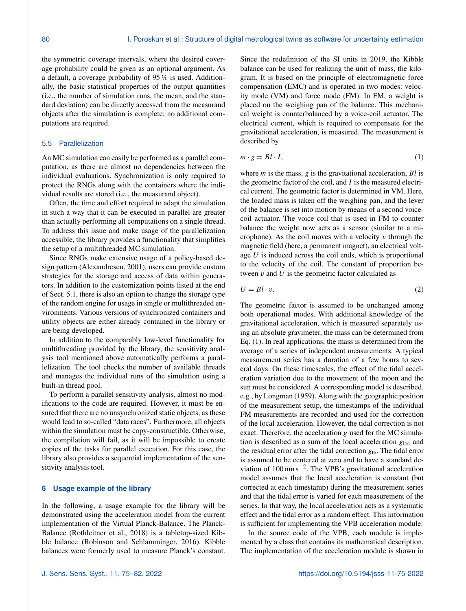the symmetric coverage intervals, where the desired coverage probability could be given as an optional argument. As a default, a coverage probability of 95 % is used. Additionally, the basic statistical properties of the output quantities (i.e., the number of simulation runs, the mean, and the standard deviation) can be directly accessed from the measurand objects after the simulation is complete; no additional computations are required.

### 5.5 Parallelization

An MC simulation can easily be performed as a parallel computation, as there are almost no dependencies between the individual evaluations. Synchronization is only required to protect the RNGs along with the containers where the individual results are stored (i.e., the measurand object).

Often, the time and effort required to adapt the simulation in such a way that it can be executed in parallel are greater than actually performing all computations on a single thread. To address this issue and make usage of the parallelization accessible, the library provides a functionality that simplifies the setup of a multithreaded MC simulation.

Since RNGs make extensive usage of a policy-based design pattern [\(Alexandrescu,](#page-7-17) [2001\)](#page-7-17), users can provide custom strategies for the storage and access of data within generators. In addition to the customization points listed at the end of Sect. [5.1,](#page-3-1) there is also an option to change the storage type of the random engine for usage in single or multithreaded environments. Various versions of synchronized containers and utility objects are either already contained in the library or are being developed.

In addition to the comparably low-level functionality for multithreading provided by the library, the sensitivity analysis tool mentioned above automatically performs a parallelization. The tool checks the number of available threads and manages the individual runs of the simulation using a built-in thread pool.

To perform a parallel sensitivity analysis, almost no modifications to the code are required. However, it must be ensured that there are no unsynchronized static objects, as these would lead to so-called "data races". Furthermore, all objects within the simulation must be copy-constructible. Otherwise, the compilation will fail, as it will be impossible to create copies of the tasks for parallel execution. For this case, the library also provides a sequential implementation of the sensitivity analysis tool.

## <span id="page-5-0"></span>**6 Usage example of the library**

In the following, a usage example for the library will be demonstrated using the acceleration model from the current implementation of the Virtual Planck-Balance. The Planck-Balance [\(Rothleitner et al.,](#page-7-4) [2018\)](#page-7-4) is a tabletop-sized Kibble balance [\(Robinson and Schlamminger,](#page-7-5) [2016\)](#page-7-5). Kibble balances were formerly used to measure Planck's constant. Since the redefinition of the SI units in 2019, the Kibble balance can be used for realizing the unit of mass, the kilogram. It is based on the principle of electromagnetic force compensation (EMC) and is operated in two modes: velocity mode (VM) and force mode (FM). In FM, a weight is placed on the weighing pan of the balance. This mechanical weight is counterbalanced by a voice-coil actuator. The electrical current, which is required to compensate for the gravitational acceleration, is measured. The measurement is described by

<span id="page-5-1"></span>
$$
m \cdot g = Bl \cdot I,\tag{1}
$$

where  $m$  is the mass,  $g$  is the gravitational acceleration,  $Bl$  is the geometric factor of the coil, and  $I$  is the measured electrical current. The geometric factor is determined in VM. Here, the loaded mass is taken off the weighing pan, and the lever of the balance is set into motion by means of a second voicecoil actuator. The voice coil that is used in FM to counter balance the weight now acts as a sensor (similar to a microphone). As the coil moves with a velocity  $v$  through the magnetic field (here, a permanent magnet), an electrical voltage  $U$  is induced across the coil ends, which is proportional to the velocity of the coil. The constant of proportion between  $v$  and  $U$  is the geometric factor calculated as

$$
U = Bl \cdot v. \tag{2}
$$

The geometric factor is assumed to be unchanged among both operational modes. With additional knowledge of the gravitational acceleration, which is measured separately using an absolute gravimeter, the mass can be determined from Eq. [\(1\)](#page-5-1). In real applications, the mass is determined from the average of a series of independent measurements. A typical measurement series has a duration of a few hours to several days. On these timescales, the effect of the tidal acceleration variation due to the movement of the moon and the sun must be considered. A corresponding model is described, e.g., by [Longman](#page-7-18) [\(1959\)](#page-7-18). Along with the geographic position of the measurement setup, the timestamps of the individual FM measurements are recorded and used for the correction of the local acceleration. However, the tidal correction is not exact. Therefore, the acceleration g used for the MC simulation is described as a sum of the local acceleration  $g_{loc}$  and the residual error after the tidal correction  $g_{te}$ . The tidal error is assumed to be centered at zero and to have a standard deviation of 100 nm s−<sup>2</sup> . The VPB's gravitational acceleration model assumes that the local acceleration is constant (but corrected at each timestamp) during the measurement series and that the tidal error is varied for each measurement of the series. In that way, the local acceleration acts as a systematic effect and the tidal error as a random effect. This information is sufficient for implementing the VPB acceleration module.

In the source code of the VPB, each module is implemented by a class that contains its mathematical description. The implementation of the acceleration module is shown in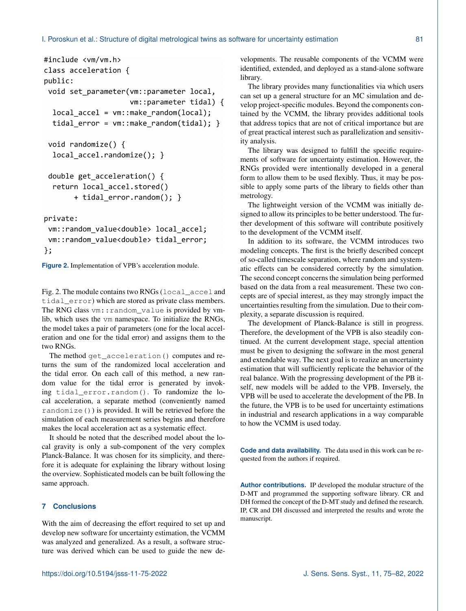```
#include <vm/vm.h>
class acceleration {
public:
 void set_parameter(vm::parameter local,
                    vm::parameter tidal) {
  local_{accel} = vm::make_random(local);
  tidal_error = \nu m::make_random(tidal);void randomize() {
  local accel.randomize(); }
 double get acceleration() {
  return local accel.stored()
       + tidal_error.random(); }
```
private:

```
vm::random_value<double> local_accel;
vm::random_value<double> tidal_error;
\};
```
**Figure 2.** Implementation of VPB's acceleration module.

Fig. [2.](#page-6-0) The module contains two RNGs (local\_accel and tidal error) which are stored as private class members. The RNG class vm:: random\_value is provided by vmlib, which uses the vm namespace. To initialize the RNGs, the model takes a pair of parameters (one for the local acceleration and one for the tidal error) and assigns them to the two RNGs.

The method get\_acceleration() computes and returns the sum of the randomized local acceleration and the tidal error. On each call of this method, a new random value for the tidal error is generated by invoking tidal\_error.random(). To randomize the local acceleration, a separate method (conveniently named randomize()) is provided. It will be retrieved before the simulation of each measurement series begins and therefore makes the local acceleration act as a systematic effect.

It should be noted that the described model about the local gravity is only a sub-component of the very complex Planck-Balance. It was chosen for its simplicity, and therefore it is adequate for explaining the library without losing the overview. Sophisticated models can be built following the same approach.

# **7 Conclusions**

With the aim of decreasing the effort required to set up and develop new software for uncertainty estimation, the VCMM was analyzed and generalized. As a result, a software structure was derived which can be used to guide the new developments. The reusable components of the VCMM were identified, extended, and deployed as a stand-alone software library.

The library provides many functionalities via which users can set up a general structure for an MC simulation and develop project-specific modules. Beyond the components contained by the VCMM, the library provides additional tools that address topics that are not of critical importance but are of great practical interest such as parallelization and sensitivity analysis.

The library was designed to fulfill the specific requirements of software for uncertainty estimation. However, the RNGs provided were intentionally developed in a general form to allow them to be used flexibly. Thus, it may be possible to apply some parts of the library to fields other than metrology.

The lightweight version of the VCMM was initially designed to allow its principles to be better understood. The further development of this software will contribute positively to the development of the VCMM itself.

In addition to its software, the VCMM introduces two modeling concepts. The first is the briefly described concept of so-called timescale separation, where random and systematic effects can be considered correctly by the simulation. The second concept concerns the simulation being performed based on the data from a real measurement. These two concepts are of special interest, as they may strongly impact the uncertainties resulting from the simulation. Due to their complexity, a separate discussion is required.

The development of Planck-Balance is still in progress. Therefore, the development of the VPB is also steadily continued. At the current development stage, special attention must be given to designing the software in the most general and extendable way. The next goal is to realize an uncertainty estimation that will sufficiently replicate the behavior of the real balance. With the progressing development of the PB itself, new models will be added to the VPB. Inversely, the VPB will be used to accelerate the development of the PB. In the future, the VPB is to be used for uncertainty estimations in industrial and research applications in a way comparable to how the VCMM is used today.

**Code and data availability.** The data used in this work can be requested from the authors if required.

**Author contributions.** IP developed the modular structure of the D-MT and programmed the supporting software library. CR and DH formed the concept of the D-MT study and defined the research. IP, CR and DH discussed and interpreted the results and wrote the manuscript.